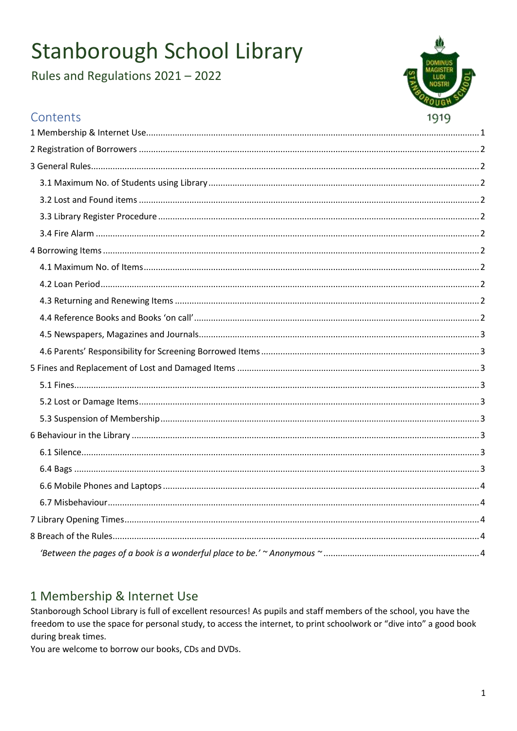# Stanborough School Library

Rules and Regulations 2021 - 2022



## Contents

# <span id="page-0-0"></span>1 Membership & Internet Use

Stanborough School Library is full of excellent resources! As pupils and staff members of the school, you have the freedom to use the space for personal study, to access the internet, to print schoolwork or "dive into" a good book during break times.

You are welcome to borrow our books, CDs and DVDs.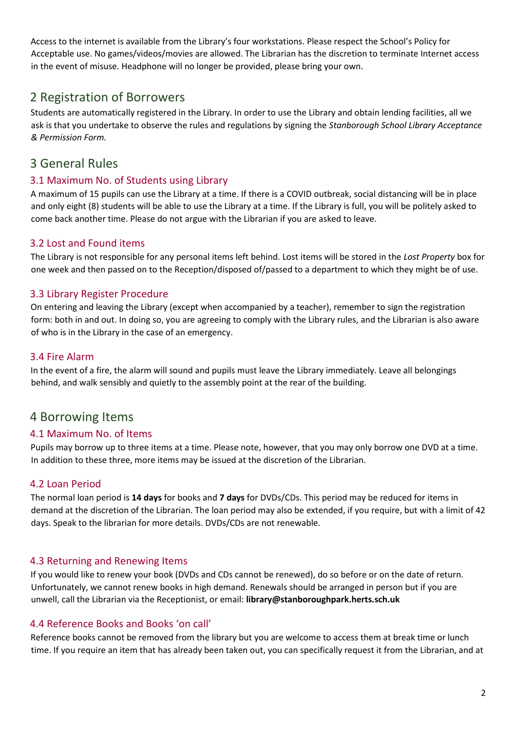Access to the internet is available from the Library's four workstations. Please respect the School's Policy for Acceptable use. No games/videos/movies are allowed. The Librarian has the discretion to terminate Internet access in the event of misuse. Headphone will no longer be provided, please bring your own.

### <span id="page-1-0"></span>2 Registration of Borrowers

Students are automatically registered in the Library. In order to use the Library and obtain lending facilities, all we ask is that you undertake to observe the rules and regulations by signing the *Stanborough School Library Acceptance & Permission Form.*

### <span id="page-1-1"></span>3 General Rules

### <span id="page-1-2"></span>3.1 Maximum No. of Students using Library

A maximum of 15 pupils can use the Library at a time. If there is a COVID outbreak, social distancing will be in place and only eight (8) students will be able to use the Library at a time. If the Library is full, you will be politely asked to come back another time. Please do not argue with the Librarian if you are asked to leave.

### <span id="page-1-3"></span>3.2 Lost and Found items

The Library is not responsible for any personal items left behind. Lost items will be stored in the *Lost Property* box for one week and then passed on to the Reception/disposed of/passed to a department to which they might be of use.

### <span id="page-1-4"></span>3.3 Library Register Procedure

On entering and leaving the Library (except when accompanied by a teacher), remember to sign the registration form: both in and out. In doing so, you are agreeing to comply with the Library rules, and the Librarian is also aware of who is in the Library in the case of an emergency.

### <span id="page-1-5"></span>3.4 Fire Alarm

In the event of a fire, the alarm will sound and pupils must leave the Library immediately. Leave all belongings behind, and walk sensibly and quietly to the assembly point at the rear of the building.

### <span id="page-1-6"></span>4 Borrowing Items

#### <span id="page-1-7"></span>4.1 Maximum No. of Items

Pupils may borrow up to three items at a time. Please note, however, that you may only borrow one DVD at a time. In addition to these three, more items may be issued at the discretion of the Librarian.

### <span id="page-1-8"></span>4.2 Loan Period

The normal loan period is **14 days** for books and **7 days** for DVDs/CDs. This period may be reduced for items in demand at the discretion of the Librarian. The loan period may also be extended, if you require, but with a limit of 42 days. Speak to the librarian for more details. DVDs/CDs are not renewable.

### <span id="page-1-9"></span>4.3 Returning and Renewing Items

If you would like to renew your book (DVDs and CDs cannot be renewed), do so before or on the date of return. Unfortunately, we cannot renew books in high demand. Renewals should be arranged in person but if you are unwell, call the Librarian via the Receptionist, or email: **library@stanboroughpark.herts.sch.uk**

#### <span id="page-1-10"></span>4.4 Reference Books and Books 'on call'

Reference books cannot be removed from the library but you are welcome to access them at break time or lunch time. If you require an item that has already been taken out, you can specifically request it from the Librarian, and at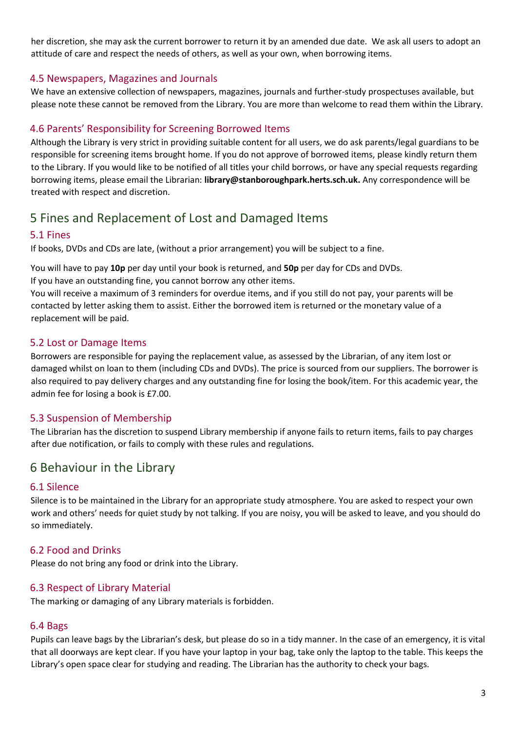her discretion, she may ask the current borrower to return it by an amended due date. We ask all users to adopt an attitude of care and respect the needs of others, as well as your own, when borrowing items.

### <span id="page-2-0"></span>4.5 Newspapers, Magazines and Journals

We have an extensive collection of newspapers, magazines, journals and further-study prospectuses available, but please note these cannot be removed from the Library. You are more than welcome to read them within the Library.

### <span id="page-2-1"></span>4.6 Parents' Responsibility for Screening Borrowed Items

Although the Library is very strict in providing suitable content for all users, we do ask parents/legal guardians to be responsible for screening items brought home. If you do not approve of borrowed items, please kindly return them to the Library. If you would like to be notified of all titles your child borrows, or have any special requests regarding borrowing items, please email the Librarian: **library@stanboroughpark.herts.sch.uk.** Any correspondence will be treated with respect and discretion.

### <span id="page-2-2"></span>5 Fines and Replacement of Lost and Damaged Items

### <span id="page-2-3"></span>5.1 Fines

If books, DVDs and CDs are late, (without a prior arrangement) you will be subject to a fine.

You will have to pay **10p** per day until your book is returned, and **50p** per day for CDs and DVDs. If you have an outstanding fine, you cannot borrow any other items.

You will receive a maximum of 3 reminders for overdue items, and if you still do not pay, your parents will be contacted by letter asking them to assist. Either the borrowed item is returned or the monetary value of a replacement will be paid.

### <span id="page-2-4"></span>5.2 Lost or Damage Items

Borrowers are responsible for paying the replacement value, as assessed by the Librarian, of any item lost or damaged whilst on loan to them (including CDs and DVDs). The price is sourced from our suppliers. The borrower is also required to pay delivery charges and any outstanding fine for losing the book/item. For this academic year, the admin fee for losing a book is £7.00.

### <span id="page-2-5"></span>5.3 Suspension of Membership

The Librarian has the discretion to suspend Library membership if anyone fails to return items, fails to pay charges after due notification, or fails to comply with these rules and regulations.

### <span id="page-2-6"></span>6 Behaviour in the Library

#### <span id="page-2-7"></span>6.1 Silence

Silence is to be maintained in the Library for an appropriate study atmosphere. You are asked to respect your own work and others' needs for quiet study by not talking. If you are noisy, you will be asked to leave, and you should do so immediately.

#### 6.2 Food and Drinks

Please do not bring any food or drink into the Library.

#### 6.3 Respect of Library Material

The marking or damaging of any Library materials is forbidden.

#### <span id="page-2-8"></span>6.4 Bags

Pupils can leave bags by the Librarian's desk, but please do so in a tidy manner. In the case of an emergency, it is vital that all doorways are kept clear. If you have your laptop in your bag, take only the laptop to the table. This keeps the Library's open space clear for studying and reading. The Librarian has the authority to check your bags.